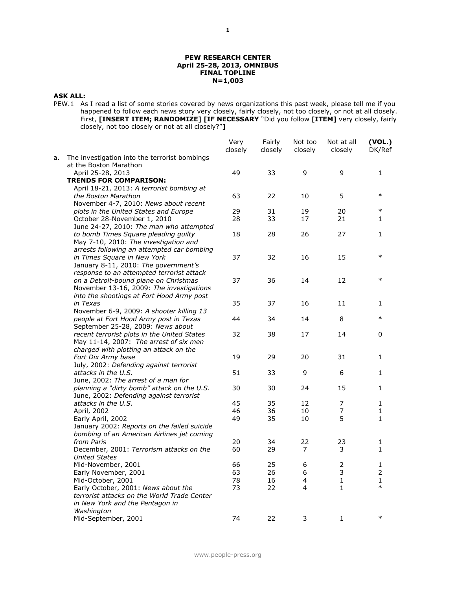#### **PEW RESEARCH CENTER April 25-28, 2013, OMNIBUS FINAL TOPLINE N=1,003**

# **ASK ALL:**

PEW.1 As I read a list of some stories covered by news organizations this past week, please tell me if you happened to follow each news story very closely, fairly closely, not too closely, or not at all closely. First, **[INSERT ITEM; RANDOMIZE] [IF NECESSARY** "Did you follow **[ITEM]** very closely, fairly closely, not too closely or not at all closely?"**]**

|    |                                                                                       | Very<br><u>closelv</u> | Fairly<br>closely | Not too<br>closely | Not at all<br>closely        | (VOL.)<br>DK/Ref    |
|----|---------------------------------------------------------------------------------------|------------------------|-------------------|--------------------|------------------------------|---------------------|
| а. | The investigation into the terrorist bombings<br>at the Boston Marathon               |                        |                   |                    |                              |                     |
|    | April 25-28, 2013                                                                     | 49                     | 33                | 9                  | 9                            | 1                   |
|    | <b>TRENDS FOR COMPARISON:</b>                                                         |                        |                   |                    |                              |                     |
|    | April 18-21, 2013: A terrorist bombing at                                             |                        |                   |                    |                              |                     |
|    | the Boston Marathon                                                                   | 63                     | 22                | 10                 | 5                            | $\ast$              |
|    | November 4-7, 2010: News about recent                                                 |                        |                   |                    |                              |                     |
|    | plots in the United States and Europe                                                 | 29                     | 31                | 19                 | 20                           | $\ast$              |
|    | October 28-November 1, 2010                                                           | 28                     | 33                | 17                 | 21                           | 1                   |
|    | June 24-27, 2010: The man who attempted                                               |                        |                   |                    |                              |                     |
|    | to bomb Times Square pleading guilty                                                  | 18                     | 28                | 26                 | 27                           | 1                   |
|    | May 7-10, 2010: The investigation and                                                 |                        |                   |                    |                              |                     |
|    | arrests following an attempted car bombing                                            |                        |                   |                    |                              |                     |
|    | in Times Square in New York                                                           | 37                     | 32                | 16                 | 15                           | $\ast$              |
|    | January 8-11, 2010: The government's                                                  |                        |                   |                    |                              |                     |
|    | response to an attempted terrorist attack                                             |                        |                   |                    |                              | $\ast$              |
|    | on a Detroit-bound plane on Christmas                                                 | 37                     | 36                | 14                 | 12                           |                     |
|    | November 13-16, 2009: The investigations<br>into the shootings at Fort Hood Army post |                        |                   |                    |                              |                     |
|    | in Texas                                                                              | 35                     | 37                | 16                 | 11                           | 1                   |
|    | November 6-9, 2009: A shooter killing 13                                              |                        |                   |                    |                              |                     |
|    | people at Fort Hood Army post in Texas                                                | 44                     | 34                | 14                 | 8                            | $\ast$              |
|    | September 25-28, 2009: News about                                                     |                        |                   |                    |                              |                     |
|    | recent terrorist plots in the United States                                           | 32                     | 38                | 17                 | 14                           | 0                   |
|    | May 11-14, 2007: The arrest of six men                                                |                        |                   |                    |                              |                     |
|    | charged with plotting an attack on the                                                |                        |                   |                    |                              |                     |
|    | Fort Dix Army base                                                                    | 19                     | 29                | 20                 | 31                           | 1                   |
|    | July, 2002: Defending against terrorist                                               |                        |                   |                    |                              |                     |
|    | attacks in the U.S.                                                                   | 51                     | 33                | 9                  | 6                            | 1                   |
|    | June, 2002: The arrest of a man for                                                   |                        |                   |                    |                              |                     |
|    | planning a "dirty bomb" attack on the U.S.                                            | 30                     | 30                | 24                 | 15                           | 1                   |
|    | June, 2002: Defending against terrorist                                               |                        |                   |                    |                              |                     |
|    | attacks in the U.S.                                                                   | 45                     | 35                | 12                 | 7                            | 1                   |
|    | April, 2002                                                                           | 46                     | 36                | 10                 | 7                            | 1                   |
|    | Early April, 2002                                                                     | 49                     | 35                | 10                 | 5                            | 1                   |
|    | January 2002: Reports on the failed suicide                                           |                        |                   |                    |                              |                     |
|    | bombing of an American Airlines jet coming                                            |                        |                   |                    |                              |                     |
|    | from Paris                                                                            | 20                     | 34                | 22                 | 23                           | 1                   |
|    | December, 2001: Terrorism attacks on the                                              | 60                     | 29                | $\overline{7}$     | 3                            | 1                   |
|    | <b>United States</b>                                                                  |                        |                   |                    |                              |                     |
|    | Mid-November, 2001                                                                    | 66                     | 25                | 6                  | $\mathbf 2$<br>3             | 1<br>$\overline{2}$ |
|    | Early November, 2001                                                                  | 63                     | 26                | 6                  |                              |                     |
|    | Mid-October, 2001<br>Early October, 2001: News about the                              | 78<br>73               | 16<br>22          | 4<br>4             | $\mathbf{1}$<br>$\mathbf{1}$ | 1<br>$\ast$         |
|    | terrorist attacks on the World Trade Center                                           |                        |                   |                    |                              |                     |
|    | in New York and the Pentagon in                                                       |                        |                   |                    |                              |                     |
|    | Washington                                                                            |                        |                   |                    |                              |                     |
|    | Mid-September, 2001                                                                   | 74                     | 22                | 3                  | $\mathbf{1}$                 | $\ast$              |
|    |                                                                                       |                        |                   |                    |                              |                     |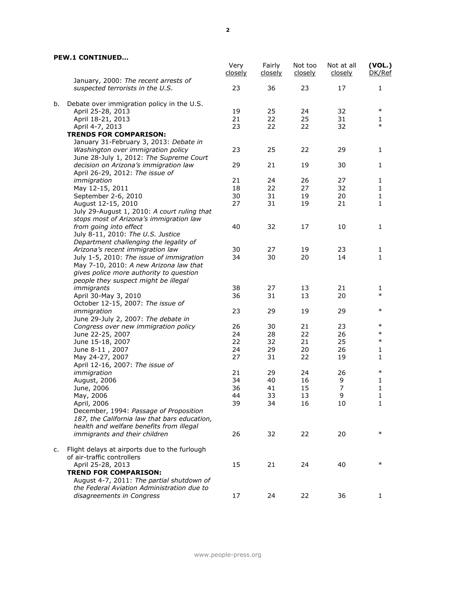## **PEW.1 CONTINUED…**

|    |                                                                          | Very<br>closely | Fairly<br><u>closely</u> | Not too<br><u>closely</u> | Not at all<br>closely | (VOL.)<br>DK/Ref |
|----|--------------------------------------------------------------------------|-----------------|--------------------------|---------------------------|-----------------------|------------------|
|    | January, 2000: The recent arrests of<br>suspected terrorists in the U.S. | 23              | 36                       | 23                        | 17                    | 1                |
| b. | Debate over immigration policy in the U.S.                               |                 |                          |                           |                       |                  |
|    | April 25-28, 2013                                                        | 19              | 25                       | 24                        | 32                    | $\ast$           |
|    | April 18-21, 2013                                                        | 21              | 22                       | 25                        | 31                    | 1                |
|    | April 4-7, 2013                                                          | 23              | 22                       | 22                        | 32                    | $\ast$           |
|    | <b>TRENDS FOR COMPARISON:</b>                                            |                 |                          |                           |                       |                  |
|    | January 31-February 3, 2013: Debate in                                   |                 |                          |                           |                       |                  |
|    | Washington over immigration policy                                       | 23              | 25                       | 22                        | 29                    | 1                |
|    | June 28-July 1, 2012: The Supreme Court                                  |                 |                          |                           |                       |                  |
|    | decision on Arizona's immigration law                                    | 29              | 21                       | 19                        | 30                    | 1                |
|    | April 26-29, 2012: The issue of                                          |                 |                          |                           |                       |                  |
|    | immigration                                                              | 21              | 24                       | 26                        | 27                    | 1                |
|    | May 12-15, 2011                                                          | 18              | 22                       | 27                        | 32                    | 1                |
|    | September 2-6, 2010                                                      | 30              | 31                       | 19                        | 20                    | $\mathbf{1}$     |
|    | August 12-15, 2010                                                       | 27              | 31                       | 19                        | 21                    | 1                |
|    | July 29-August 1, 2010: A court ruling that                              |                 |                          |                           |                       |                  |
|    | stops most of Arizona's immigration law                                  |                 |                          |                           |                       |                  |
|    | from going into effect                                                   | 40              | 32                       | 17                        | 10                    | 1                |
|    | July 8-11, 2010: The U.S. Justice                                        |                 |                          |                           |                       |                  |
|    | Department challenging the legality of                                   |                 |                          |                           |                       |                  |
|    | Arizona's recent immigration law                                         | 30              | 27                       | 19                        | 23                    | 1                |
|    | July 1-5, 2010: The issue of immigration                                 | 34              | 30                       | 20                        | 14                    | 1                |
|    | May 7-10, 2010: A new Arizona law that                                   |                 |                          |                           |                       |                  |
|    | gives police more authority to question                                  |                 |                          |                           |                       |                  |
|    | people they suspect might be illegal                                     |                 |                          |                           |                       |                  |
|    | immigrants                                                               | 38              | 27                       | 13                        | 21                    | 1                |
|    | April 30-May 3, 2010                                                     | 36              | 31                       | 13                        | 20                    | $\ast$           |
|    | October 12-15, 2007: The issue of                                        |                 |                          |                           |                       |                  |
|    | immigration                                                              | 23              | 29                       | 19                        | 29                    | $\ast$           |
|    | June 29-July 2, 2007: The debate in                                      |                 |                          |                           |                       |                  |
|    | Congress over new immigration policy                                     | 26              | 30                       | 21                        | 23                    | $\ast$           |
|    | June 22-25, 2007                                                         | 24              | 28                       | 22                        | 26                    | $\ast$           |
|    | June 15-18, 2007                                                         | 22              | 32                       | 21                        | 25                    | $\ast$           |
|    | June 8-11, 2007                                                          | 24              | 29                       | 20                        | 26                    | 1                |
|    | May 24-27, 2007                                                          | 27              | 31                       | 22                        | 19                    | 1                |
|    | April 12-16, 2007: The issue of                                          |                 |                          |                           |                       |                  |
|    | immigration                                                              | 21              | 29                       | 24                        | 26                    | $\ast$           |
|    | August, 2006                                                             | 34              | 40                       | 16                        | 9                     | 1                |
|    | June, 2006                                                               | 36              | 41                       | 15                        | $\boldsymbol{7}$      | 1                |
|    | May, 2006                                                                | 44              | 33                       | 13                        | 9                     | 1                |
|    | April, 2006                                                              | 39              | 34                       | 16                        | 10                    | 1                |
|    | December, 1994: Passage of Proposition                                   |                 |                          |                           |                       |                  |
|    | 187, the California law that bars education,                             |                 |                          |                           |                       |                  |
|    | health and welfare benefits from illegal                                 |                 |                          |                           |                       |                  |
|    | immigrants and their children                                            | 26              | 32                       | 22                        | 20                    | $\ast$           |
|    |                                                                          |                 |                          |                           |                       |                  |
| c. | Flight delays at airports due to the furlough                            |                 |                          |                           |                       |                  |
|    | of air-traffic controllers                                               |                 |                          |                           |                       |                  |
|    | April 25-28, 2013                                                        | 15              | 21                       | 24                        | 40                    | $\ast$           |
|    | <b>TREND FOR COMPARISON:</b>                                             |                 |                          |                           |                       |                  |
|    | August 4-7, 2011: The partial shutdown of                                |                 |                          |                           |                       |                  |
|    | the Federal Aviation Administration due to                               |                 |                          |                           |                       |                  |
|    | disagreements in Congress                                                | 17              | 24                       | 22                        | 36                    | 1                |
|    |                                                                          |                 |                          |                           |                       |                  |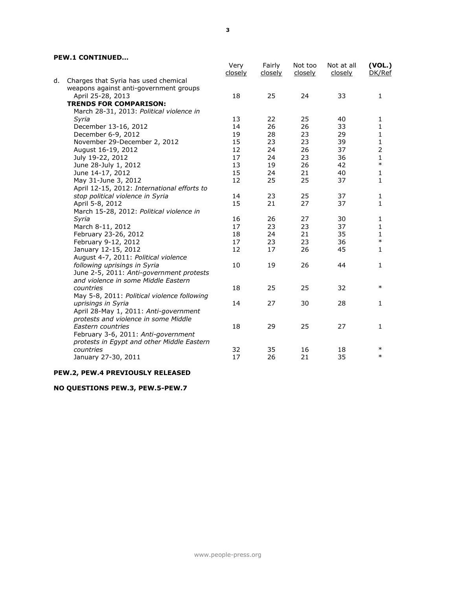## **PEW.1 CONTINUED…**

|    |                                             | Very<br>closely | Fairly<br>closely | Not too<br>closely | Not at all<br>closely | (VOL.)<br>DK/Ref |
|----|---------------------------------------------|-----------------|-------------------|--------------------|-----------------------|------------------|
| d. | Charges that Syria has used chemical        |                 |                   |                    |                       |                  |
|    | weapons against anti-government groups      |                 |                   |                    |                       |                  |
|    | April 25-28, 2013                           | 18              | 25                | 24                 | 33                    | 1                |
|    | <b>TRENDS FOR COMPARISON:</b>               |                 |                   |                    |                       |                  |
|    | March 28-31, 2013: Political violence in    |                 |                   |                    |                       |                  |
|    | Syria                                       | 13              | 22                | 25                 | 40                    | 1                |
|    | December 13-16, 2012                        | 14              | 26                | 26                 | 33                    | 1                |
|    | December 6-9, 2012                          | 19              | 28                | 23                 | 29                    | 1                |
|    | November 29-December 2, 2012                | 15              | 23                | 23                 | 39                    | 1                |
|    | August 16-19, 2012                          | 12              | 24                | 26                 | 37                    | $\overline{2}$   |
|    | July 19-22, 2012                            | 17              | 24                | 23                 | 36                    | 1                |
|    | June 28-July 1, 2012                        | 13              | 19                | 26                 | 42                    | $\ast$           |
|    | June 14-17, 2012                            | 15              | 24                | 21                 | 40                    | $\mathbf{1}$     |
|    | May 31-June 3, 2012                         | 12              | 25                | 25                 | 37                    | $\mathbf{1}$     |
|    | April 12-15, 2012: International efforts to |                 |                   |                    |                       |                  |
|    | stop political violence in Syria            | 14              | 23                | 25                 | 37                    | $\mathbf{1}$     |
|    | April 5-8, 2012                             | 15              | 21                | 27                 | 37                    | $\mathbf{1}$     |
|    | March 15-28, 2012: Political violence in    |                 |                   |                    |                       |                  |
|    | Syria                                       | 16              | 26                | 27                 | 30                    | 1                |
|    | March 8-11, 2012                            | 17              | 23                | 23                 | 37                    | 1                |
|    | February 23-26, 2012                        | 18              | 24                | 21                 | 35                    | $\mathbf{1}$     |
|    | February 9-12, 2012                         | 17              | 23                | 23                 | 36                    | $\ast$           |
|    | January 12-15, 2012                         | 12              | 17                | 26                 | 45                    | 1                |
|    | August 4-7, 2011: Political violence        |                 |                   |                    |                       |                  |
|    | following uprisings in Syria                | 10              | 19                | 26                 | 44                    | $\mathbf{1}$     |
|    | June 2-5, 2011: Anti-government protests    |                 |                   |                    |                       |                  |
|    | and violence in some Middle Eastern         |                 |                   |                    |                       |                  |
|    | countries                                   | 18              | 25                | 25                 | 32                    | $\ast$           |
|    | May 5-8, 2011: Political violence following |                 |                   |                    |                       |                  |
|    | uprisings in Syria                          | 14              | 27                | 30                 | 28                    | $\mathbf{1}$     |
|    | April 28-May 1, 2011: Anti-government       |                 |                   |                    |                       |                  |
|    | protests and violence in some Middle        |                 |                   |                    |                       |                  |
|    | Eastern countries                           | 18              | 29                | 25                 | 27                    | $\mathbf{1}$     |
|    | February 3-6, 2011: Anti-government         |                 |                   |                    |                       |                  |
|    | protests in Egypt and other Middle Eastern  |                 |                   |                    |                       |                  |
|    | countries                                   | 32              | 35                | 16                 | 18                    | $\ast$           |
|    | January 27-30, 2011                         | 17              | 26                | 21                 | 35                    | $\ast$           |
|    |                                             |                 |                   |                    |                       |                  |

## **PEW.2, PEW.4 PREVIOUSLY RELEASED**

## **NO QUESTIONS PEW.3, PEW.5-PEW.7**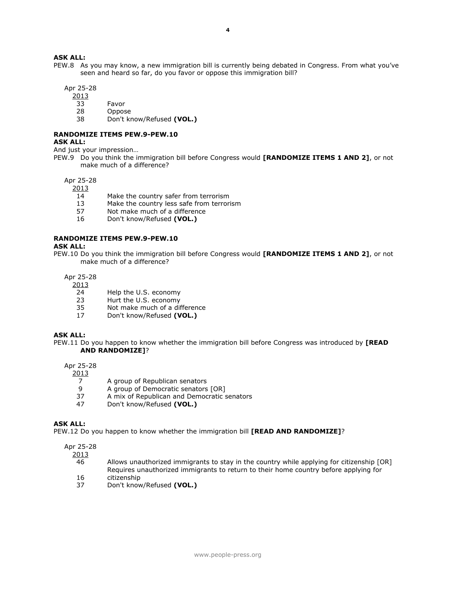## **ASK ALL:**

PEW.8 As you may know, a new immigration bill is currently being debated in Congress. From what you've seen and heard so far, do you favor or oppose this immigration bill?

Apr 25-28

2013

- 33 Favor
- 28 Oppose
- 38 Don't know/Refused **(VOL.)**

# **RANDOMIZE ITEMS PEW.9-PEW.10**

## **ASK ALL:**

And just your impression…

PEW.9 Do you think the immigration bill before Congress would **[RANDOMIZE ITEMS 1 AND 2]**, or not make much of a difference?

## Apr 25-28

2013

- 14 Make the country safer from terrorism
- 13 Make the country less safe from terrorism
- 57 Not make much of a difference
- 16 Don't know/Refused **(VOL.)**

#### **RANDOMIZE ITEMS PEW.9-PEW.10**

#### **ASK ALL:**

PEW.10 Do you think the immigration bill before Congress would **[RANDOMIZE ITEMS 1 AND 2]**, or not make much of a difference?

Apr 25-28

## 2013

- 24 Help the U.S. economy
- 23 Hurt the U.S. economy
- 35 Not make much of a difference
- 17 Don't know/Refused **(VOL.)**

#### **ASK ALL:**

PEW.11 Do you happen to know whether the immigration bill before Congress was introduced by **[READ AND RANDOMIZE]**?

#### Apr 25-28

2013

- 7 A group of Republican senators
- 9 A group of Democratic senators [OR]<br>37 A mix of Republican and Democratic s
- A mix of Republican and Democratic senators
- 47 Don't know/Refused **(VOL.)**

#### **ASK ALL:**

PEW.12 Do you happen to know whether the immigration bill **[READ AND RANDOMIZE]**?

#### Apr 25-28

2013

- 46 Allows unauthorized immigrants to stay in the country while applying for citizenship [OR] Requires unauthorized immigrants to return to their home country before applying for 16 citizenship
- 37 Don't know/Refused **(VOL.)**